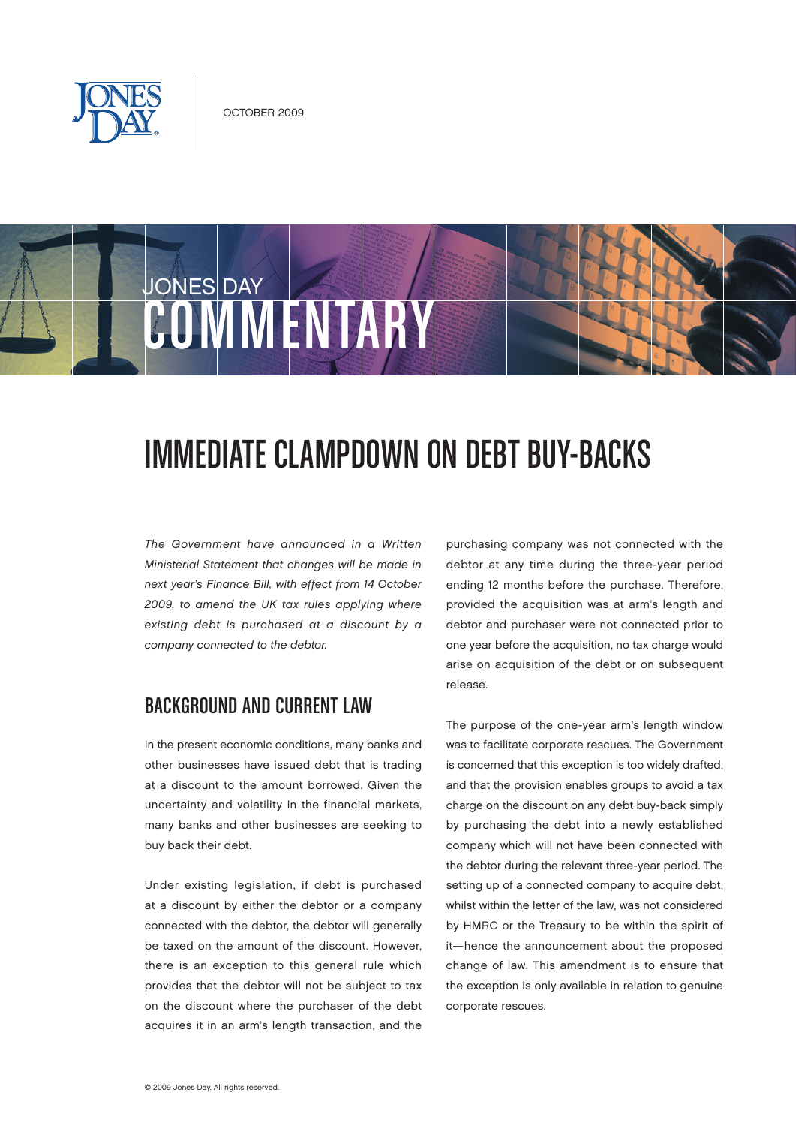

# JONES DAY COMMUNIST

# IMMEDIATE CLAMPDOWN ON DEBT BUY-BACKS

The Government have announced in a Written Ministerial Statement that changes will be made in next year's Finance Bill, with effect from 14 October 2009, to amend the UK tax rules applying where existing debt is purchased at a discount by a company connected to the debtor.

#### Background and current law

In the present economic conditions, many banks and other businesses have issued debt that is trading at a discount to the amount borrowed. Given the uncertainty and volatility in the financial markets, many banks and other businesses are seeking to buy back their debt.

Under existing legislation, if debt is purchased at a discount by either the debtor or a company connected with the debtor, the debtor will generally be taxed on the amount of the discount. However, there is an exception to this general rule which provides that the debtor will not be subject to tax on the discount where the purchaser of the debt acquires it in an arm's length transaction, and the

purchasing company was not connected with the debtor at any time during the three-year period ending 12 months before the purchase. Therefore, provided the acquisition was at arm's length and debtor and purchaser were not connected prior to one year before the acquisition, no tax charge would arise on acquisition of the debt or on subsequent release.

The purpose of the one-year arm's length window was to facilitate corporate rescues. The Government is concerned that this exception is too widely drafted, and that the provision enables groups to avoid a tax charge on the discount on any debt buy-back simply by purchasing the debt into a newly established company which will not have been connected with the debtor during the relevant three-year period. The setting up of a connected company to acquire debt, whilst within the letter of the law, was not considered by HMRC or the Treasury to be within the spirit of it—hence the announcement about the proposed change of law. This amendment is to ensure that the exception is only available in relation to genuine corporate rescues.